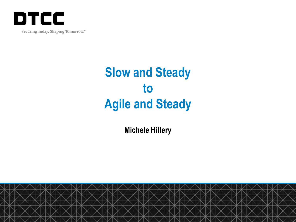

Securing Today. Shaping Tomorrow.<sup>®</sup>

# **Slow and Steady to Agile and Steady**

**Michele Hillery**

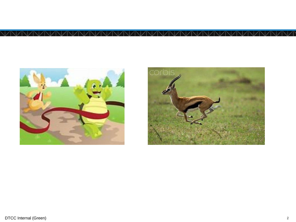

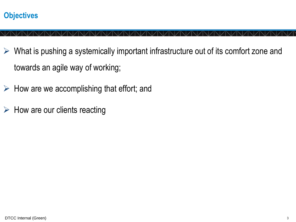## **Objectives**

- ➢ What is pushing a systemically important infrastructure out of its comfort zone and towards an agile way of working;
- $\triangleright$  How are we accomplishing that effort; and
- $\triangleright$  How are our clients reacting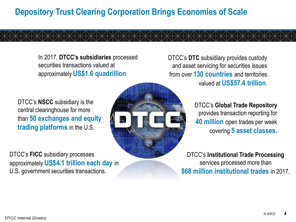## **Depository Trust Clearing Corporation Brings Economies of Scale**

In 2017, **DTCC's subsidiaries** processed securities transactions valued at approximately **US\$1.6 quadrillion**.

DTCC's **NSCC** subsidiary is the central clearinghouse for more than **50 exchanges and equity trading platforms** in the U.S.

DTCC's **FICC** subsidiary processes approximately **US\$4.1 trillion each day** in U.S. government securities transactions.



DTCC's **DTC** subsidiary provides custody and asset servicing for securities issues from over **130 countries** and territories valued at **US\$57.4 trillion**.

> DTCC's **Global Trade Repository**  provides transaction reporting for **40 million** open trades per week covering **5 asset classes.**

DTCC's **Institutional Trade Processing** services processed more than **868 million institutional trades** in 2017.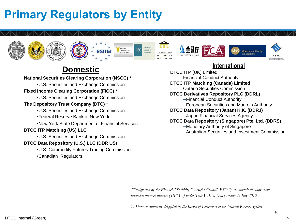# **Primary Regulators by Entity**















**International**



## **Domestic**

### **National Securities Clearing Corporation (NSCC) \***

•U.S. Securities and Exchange Commission

#### **Fixed Income Clearing Corporation (FICC) \***

•U.S. Securities and Exchange Commission

#### **The Depository Trust Company (DTC) \***

•U.S. Securities and Exchange Commission •Federal Reserve Bank of New York<sup>1</sup>

•New York State Department of Financial Services

### **DTCC ITP Matching (US) LLC**

•U.S. Securities and Exchange Commission

#### **DTCC Data Repository (U.S.) LLC (DDR US)**

•U.S. Commodity Futures Trading Commission •Canadian Regulators

DTCC ITP (UK) Limited Financial Conduct Authority DTCC ITP **Matching (Canada) Limited** Ontario Securities Commission **DTCC Derivatives Repository PLC (DDRL)** –Financial Conduct Authority –European Securities and Markets Authority **DTCC Data Repository (Japan) K.K. (DDRJ)** –Japan Financial Services Agency **DTCC Data Repository (Singapore) Pte. Ltd. (DDRS)** –Monetary Authority of Singapore –Australian Securities and Investment Commission

*\*Designated by the Financial Stability Oversight Council (FSOC) as systemically important financial market utilities (SIFMU) under Title VIII of Dodd-Frank in July 2012*

*1. Through authority delegated by the Board of Governors of the Federal Reserve System*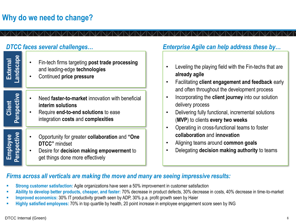## **Why do we need to change?**

| andscape<br>kterna  | Fin-tech firms targeting <b>post trade processing</b><br>and leading-edge technologies<br>Continued price pressure                                       |
|---------------------|----------------------------------------------------------------------------------------------------------------------------------------------------------|
| Perspecti<br>Client | Need faster-to-market innovation with beneficial<br>interim solutions<br>Require end-to-end solutions to ease<br>integration costs and complexities      |
| Employee<br>Perspec | Opportunity for greater collaboration and "One<br><b>DTCC</b> " mindset<br>Desire for decision making empowerment to<br>get things done more effectively |

### *DTCC faces several challenges… Enterprise Agile can help address these by…*

- Leveling the playing field with the Fin-techs that are **already agile**
- Facilitating **client engagement and feedback** early and often throughout the development process
- Incorporating the **client journey** into our solution delivery process
- Delivering fully functional, incremental solutions (**MVP**) to clients **every two weeks**
- Operating in cross-functional teams to foster **collaboration** and **innovation**
- Aligning teams around **common goals**
- Delegating **decision making authority** to teams

### *Firms across all verticals are making the move and many are seeing impressive results:*

- **Strong customer satisfaction:** Agile organizations have seen a 50% improvement in customer satisfaction
- **Ability to develop better products, cheaper, and faster:** 70% decrease in product defects, 30% decrease in costs, 40% decrease in time-to-market
- **Improved economics:** 30% IT productivity growth seen by ADP, 30% p.a. profit growth seen by Haier
- Highly satisfied employees: 70% in top quartile by health, 20 point increase in employee engagement score seen by ING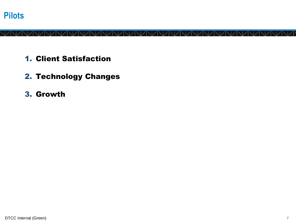## **Pilots**

- 1. Client Satisfaction
- 2. Technology Changes
- 3. Growth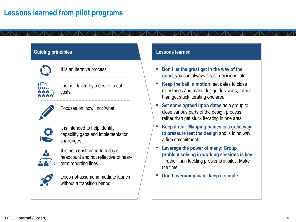## **Lessons learned from pilot programs**

### **Guiding principles COVID-100 COVID-100 COVID-100 COVID-100 COVID-100 COVID-100 COVID-100 COVID-100 COVID-100 COVID-100 COVID-100 COVID-100 COVID-100 COVID-100 COVID-100 COVID-100 COVID-100 COVID-100 COVID-100 COVID-100**

It is an iterative process



It is not driven by a desire to cut costs



Focuses on 'how', not 'what'



It is intended to help identify capability gaps and implementation challenges



It is not constrained to today's headcount and not reflective of nearterm reporting lines



Does not assume immediate launch without a transition period

- **Don't let the great get in the way of the good**, you can always revisit decisions later
- **Keep the ball in motion:** set dates to close milestones and make design decisions, rather than get stuck iterating one area
- **Set some agreed upon dates** as a group to close various parts of the design process, rather than get stuck iterating in one area
- **Keep it real: Mapping names is a great way to pressure test the design** and is in no way a firm commitment
- **Leverage the power of many: Group problem solving in working sessions is key**  – rather than tackling problems in silos. Make the time
- **Don't overcomplicate, keep it simple**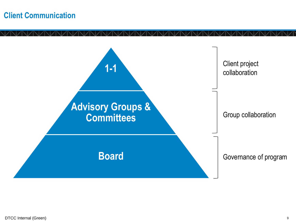## **Client Communication**